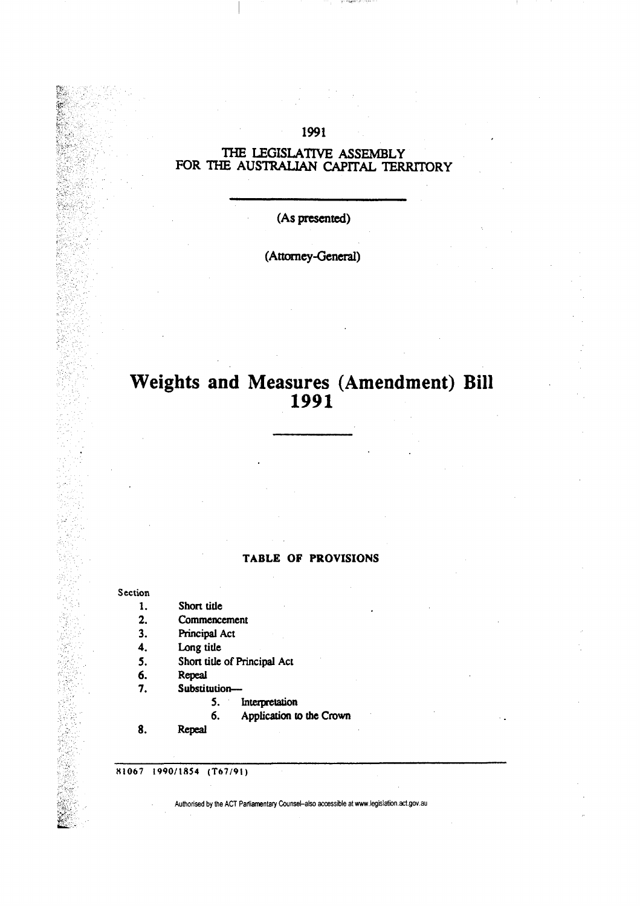# **1991**

## **THE LEGISLATIVE ASSEMBLY**  FOR THE AUSTRALIAN CAPITAL TERRITORY

### **(As presented)**

# **(Attorney-General)**

# **Weights and Measures (Amendment) Bill 1991**

#### **TABLE OF PROVISIONS**

#### **Section**

- **1.**  Short title
- **2. Commencement**
- **3. Principal Act**
- **4. Long title**
- **5. Short title of Principal Act**
- **6. Repeal**
- **7. Substitution—** 
	- **S. Interpretation**
	- **6. Application to the Crown**
- **8. Repeal**

**H1067 1990/1854 (T67/91)**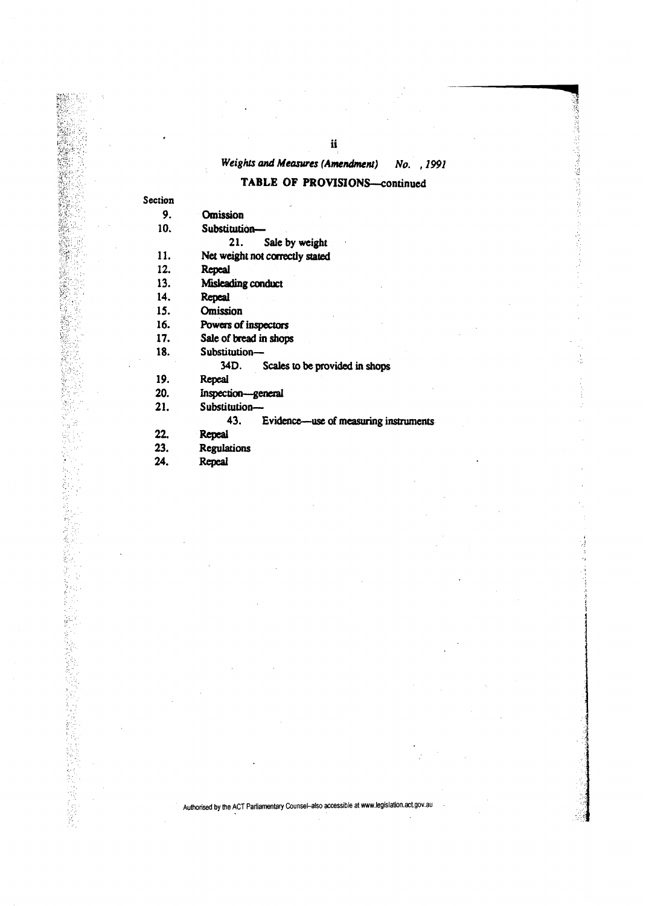# *Weights and Measures (Amendment)* No. , 1991

## **TABLE OF PROVISIONS—continued**

à,

| Section |  |
|---------|--|
| 9.      |  |

2012年12月

699 民族

医红斑性麻痹

1550年 10月 10月 10日 10日

(金属)

**Omission** 

**10. Substitution—** 

**21. Sale by weight** 

**11. Net weight not correctly stated** 

**12. Repeal** 

**13. Misleading conduct** 

**14. Repeal** 

**15. Omission** 

**16. Powers of inspectors** 

**17. Sale of bread in shops** 

**18. Substitution—** 

**34D. Scales to be provided in shops** 

**19. Repeal** 

**20. Inspection—general** 

**21. Substitution—** 

**43. Evidence—use of measuring instruments** 

**22. Repeal** 

**23. Regulations** 

**24. Repeal**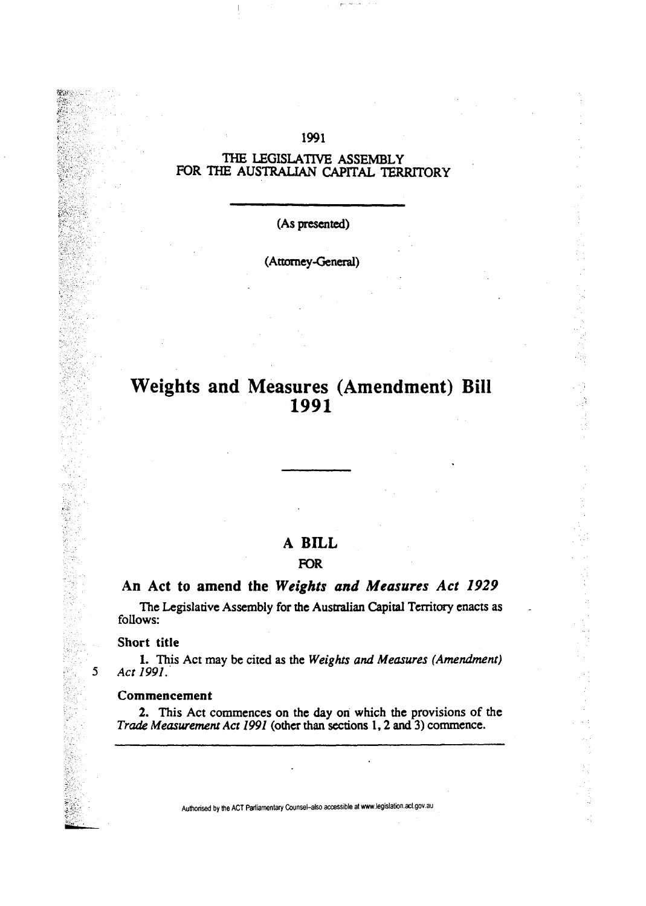# THE LEGISLATIVE ASSEMBLY FOR THE AUSTRALIAN CAPITAL TERRITORY

1991

(As presented)

(Attorney-General)

# **Weights and Measures (Amendment) Bill 1991**

C).

# **A BILL**

# FOR

# **An Act to amend the** *Weights and Measures Act 1929*

The Legislative Assembly for the Australian Capital Territory enacts as follows:

#### Short title

5

横波

1. This Act may be cited as the *Weights and Measures (Amendment) Act 1991.* 

### Commencement

2. This Act commences on the day on which the provisions of the *Trade Measurement Act 1991* (other than sections 1,2 and 3) commence.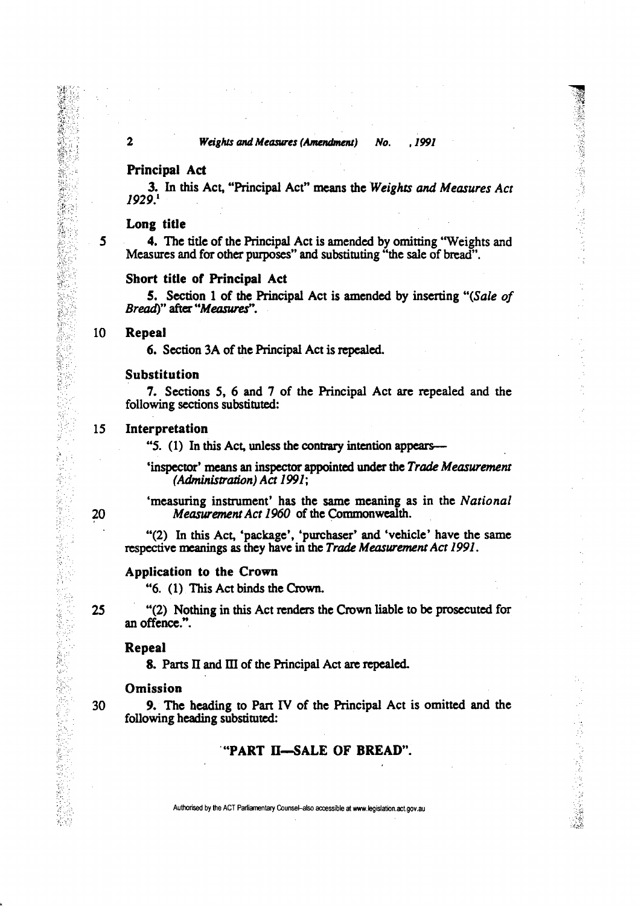### **Principal Act**

3. In this Act, "Principal Act" means the *Weights and Measures Act 1929}* 

#### **Long titie**

5 **4.** The title of the Principal Act is amended by omitting "Weights and Measures and for other purposes" and substituting "the sale of bread".

#### **Short title of Principal Act**

**5.** Section 1 of **the** Principal Act is amended by inserting *"(Sale of Bread*)" after "Measures".

#### **10 Repeal**

**6.** Section 3A of the Principal Act is repealed

#### Substitution

7. Sections 5, 6 and 7 of the Principal Act are repealed and the following sections substituted:

### IS **Interpretation**

"5. (1) In this Act, unless the contrary intention appears—

'inspector\* means an inspector appointed under the *Trade Measurement (Administration) Act 1991;* 

'measuring instrument' has the same meaning as in the *National*  20 *Measurement Act 1960* of the Commonwealth.

"(2) In this Act, 'package', 'purchaser' and 'vehicle' have the same respective meanings as they have in the *Trade Measurement Act 1991.* 

### **Application to the Crown**

"6. (1) This Act binds the Crown.

25 "(2) Nothing in this Act renders the Crown liable to be prosecuted for an offence.".

#### **Repeal**

**8.** Parts II and III of the Principal Act are repealed.

#### Omission

30 9. The heading to Part IV of the Principal Act is omitted and the following heading substituted:

### **"PART n—SALE OF BREAD".**

Authorised by the ACT Parliamentary Counsel-also accessible at www.legislation.act.gov.au

■「SASS SECTION SECTION SECTION SECTION SECTION SECTION SECTION SECTION SECTION SECTION SECTION SECTION SECTION

经保证 经利用的 医甲基苯 经管理帐户

赤水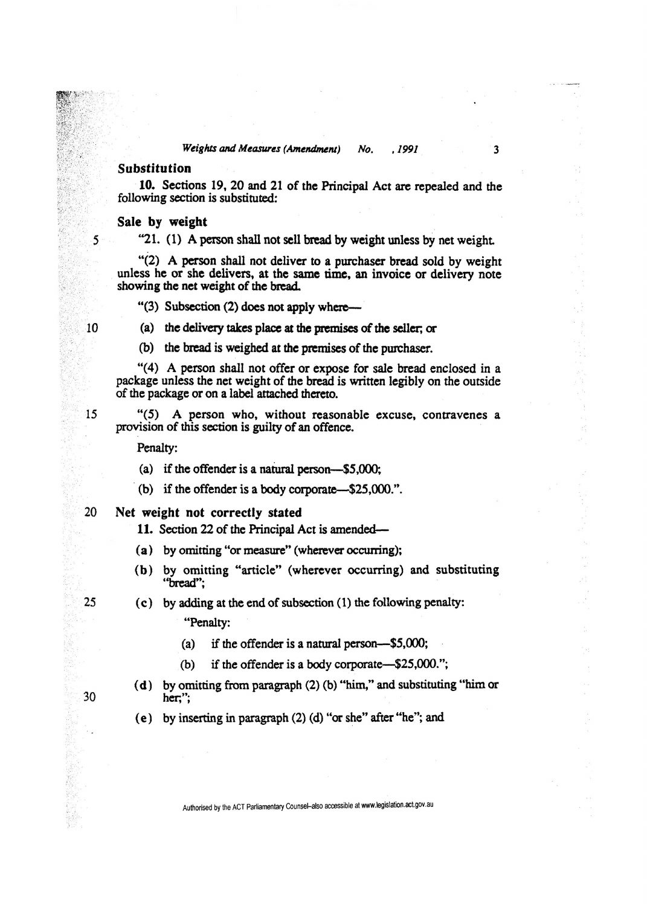### *Weights and Measures (Amendment) No. . 1991* **3**

### Substitution

10. Sections 19, 20 and 21 of the Principal Act are repealed and the following section is substituted:

#### **Sale by weight**

"21. (1) A person shall not sell bread by weight unless by net weight

"(2) A person shall not deliver to a purchaser bread sold by weight unless he or she delivers, at the same time, an invoice or delivery note showing the net weight of the bread.

 $"$ (3) Subsection (2) does not apply where—

(a) the delivery takes place at the premises of the seller; or

(b) the bread is weighed at the premises of the purchaser.

"(4) A person shall not offer or expose for sale bread enclosed in a package unless the net weight of the bread is written legibly on the outside of the package or on a label attached thereto.

"(5) A person who, without reasonable excuse, contravenes a provision of this section is guilty of an offence.

Penalty:

- (a) if the offender is a natural person—\$5,000;
- (b) if the offender is a body corporate—\$25,000.".
- 20 **Net weight not correctly stated**

**11.** Section 22 of the Principal Act is amended—

- (**a**) by omitting "or measure" (wherever occurring);
- (b) by omitting "article" (wherever occurring) and substituting "bread";

# (c) by adding at the end of subsection (1) the following penalty: "Penalty:

- (a) if the offender is a natural person—\$5,000;
- (b) if the offender is a body corporate—\$25,000.";
- (d) by omitting from paragraph (2) (b) "him," and substituting "him or her,";
- (e) by inserting in paragraph (2) (d) "or she" after "he"; and

30

25

 $15$ 

 $5\overline{)}$ 

 $10$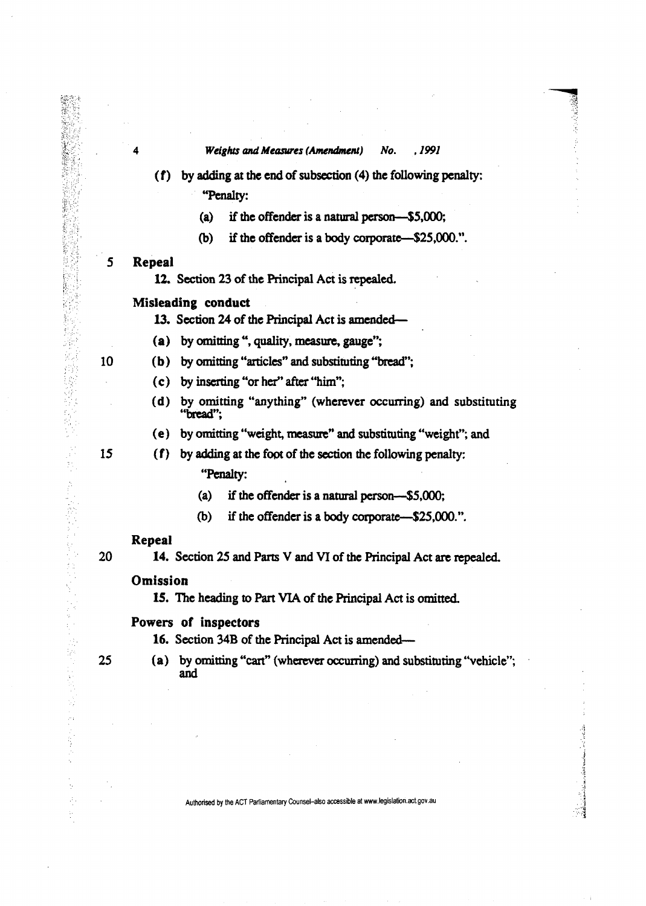(f) by adding at the end of subsection (4) the following penalty:

"Penalty:

- (a) if the offender is a natural person—\$5,000;
- (b) if the offender is a body corporate—\$25,000.".

#### 5 **Repeal**

12. Section 23 of the Principal Act is repealed.

### **Misleading conduct**

**13.** Section 24 of the Principal Act is amended—

(a) by omitting ", quality, measure, gauge";

- 10 (b) by omitting "articles" and substituting''bread";
	- (c) by inserting "or her" after "him";
	- (d) by omitting "anything" (wherever occurring) and substituting "bread";
	- (e) by omitting "weight, measure" and substituting "weight"; and

15

**TANA** 

1982年3月<br>1982年<br>1982年

 $\frac{1}{2}$ 

好人感情的复数形式

计可变变变换 化

ķ. Ą.

# (f) by adding at the foot of the section the following penalty: "Penalty:

- (a) if the offender is a natural person—\$5,000;
- (b) if the offender is a body corporate—\$25,000.".

#### **Repeal**

20

**14.** Section 25 and Parts V and VI of the Principal Act are repealed.

### **Omission**

15. The heading to Part VIA of the Principal Act is omitted.

### Powers of **inspectors**

16. Section 34B of the Principal Act is amended—

- 25
- (a) by omitting "cart" (wherever occuning) and substituting "vehicle"; and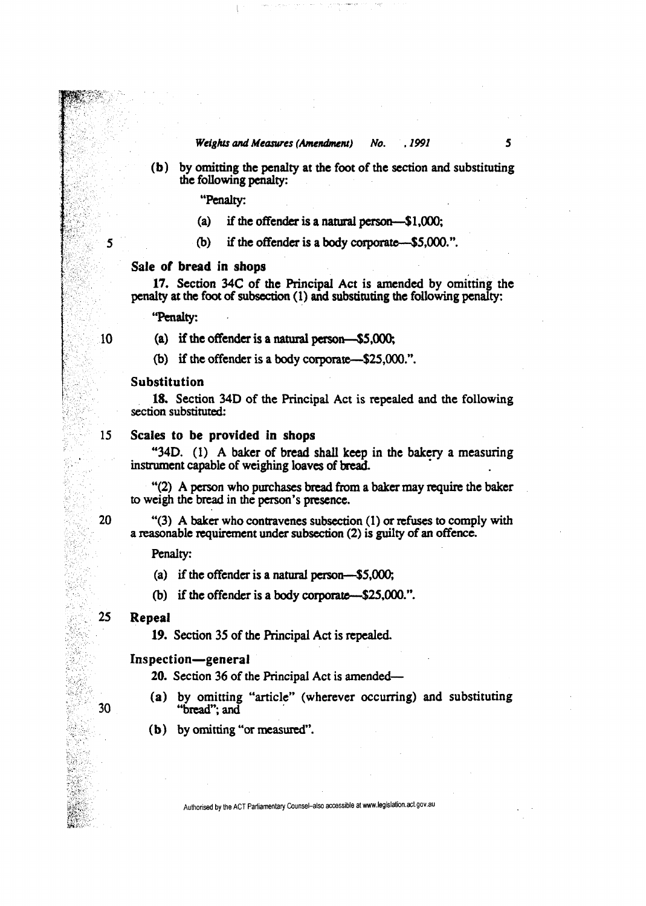*Weights and Measures (Amendment) No. .1991* 5

(b) by omitting the penalty at the foot of the section and substituting the following penalty:

"Penalty:

- (a) if the offender is a natural person—\$1,000;
- 5 (b) if the offender is a body corporate—-\$5,000.".

#### Sale **of bread in shops**

**17.** Section 34C of the Principal Act is amended by omitting the penalty at the foot of subsection (1) and substituting the following penalty:

"Penalty:

10 (a) if the offender is a natural person—\$5,000;

(b) if the offender is a body corporate—\$25,000.".

#### Substitution

18. Section 34D of the Principal Act is repealed and the following section substituted:

#### 15 Scales to be **provided** in shops

"34D. (1) A baker of bread shall keep in the bakery a measuring instrument capable of weighing loaves of bread.

"(2) A person who purchases bread from a baker may require the baker to weigh the bread in the person's presence.

20 "(3) A baker who contravenes subsection (1) or refuses to comply with a reasonable requirement under subsection (2) is guilty of an offence.

Penalty:

(a) if the offender is a natural person—\$5,000;

(b) if the offender is a body corporate—\$25,000.".

### 25 **Repeal**

**19.** Section 35 of the Principal Act is repealed.

#### Inspection—general

20. Section 36 of the Principal Act is amended—

- 
- (a) by omitting "article" (wherever occurring) and substituting 30 "bread"; and
	- (b) by omitting "or measured".